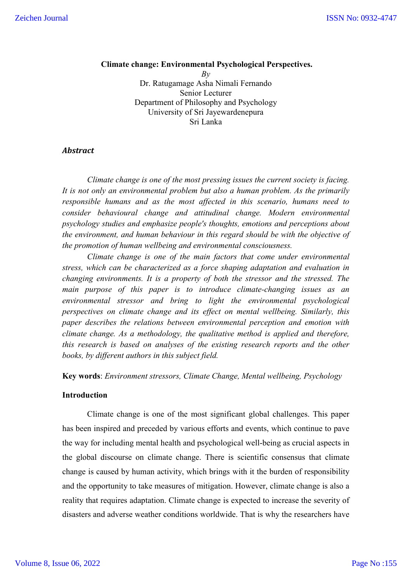# **Climate change: Environmental Psychological Perspectives.**

*By* Dr. Ratugamage Asha Nimali Fernando Senior Lecturer Department of Philosophy and Psychology University of Sri Jayewardenepura Sri Lanka

## *Abstract*

*Climate change is one of the most pressing issues the current society is facing. It is not only an environmental problem but also a human problem. As the primarily responsible humans and as the most affected in this scenario, humans need to consider behavioural change and attitudinal change. Modern environmental psychology studies and emphasize people's thoughts, emotions and perceptions about the environment, and human behaviour in this regard should be with the objective of the promotion of human wellbeing and environmental consciousness.*

*Climate change is one of the main factors that come under environmental stress, which can be characterized as a force shaping adaptation and evaluation in changing environments. It is a property of both the stressor and the stressed. The main purpose of this paper is to introduce climate-changing issues as an environmental stressor and bring to light the environmental psychological perspectives on climate change and its effect on mental wellbeing. Similarly, this paper describes the relations between environmental perception and emotion with climate change. As a methodology, the qualitative method is applied and therefore, this research is based on analyses of the existing research reports and the other books, by different authors in this subject field.*

**Key words**: *Environment stressors, Climate Change, Mental wellbeing, Psychology*

#### **Introduction**

Climate change is one of the most significant global challenges. This paper has been inspired and preceded by various efforts and events, which continue to pave the way for including mental health and psychological well-being as crucial aspects in the global discourse on climate change. There is scientific consensus that climate change is caused by human activity, which brings with it the burden of responsibility and the opportunity to take measures of mitigation. However, climate change is also a reality that requires adaptation. Climate change is expected to increase the severity of disasters and adverse weather conditions worldwide. That is why the researchers have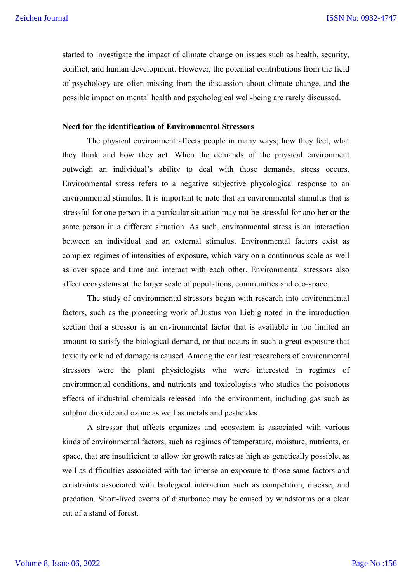started to investigate the impact of climate change on issues such as health, security, conflict, and human development. However, the potential contributions from the field of psychology are often missing from the discussion about climate change, and the possible impact on mental health and psychological well-being are rarely discussed.

#### **Need for the identification of Environmental Stressors**

The physical environment affects people in many ways; how they feel, what they think and how they act. When the demands of the physical environment outweigh an individual's ability to deal with those demands, stress occurs. Environmental stress refers to a negative subjective phycological response to an environmental stimulus. It is important to note that an environmental stimulus that is stressful for one person in a particular situation may not be stressful for another or the same person in a different situation. As such, environmental stress is an interaction between an individual and an external stimulus. Environmental factors exist as complex regimes of intensities of exposure, which vary on a continuous scale as well as over space and time and interact with each other. Environmental stressors also affect ecosystems at the larger scale of populations, communities and eco-space.

The study of environmental stressors began with research into environmental factors, such as the pioneering work of Justus von Liebig noted in the introduction section that a stressor is an environmental factor that is available in too limited an amount to satisfy the biological demand, or that occurs in such a great exposure that toxicity or kind of damage is caused. Among the earliest researchers of environmental stressors were the plant physiologists who were interested in regimes of environmental conditions, and nutrients and toxicologists who studies the poisonous effects of industrial chemicals released into the environment, including gas such as sulphur dioxide and ozone as well as metals and pesticides.

A stressor that affects organizes and ecosystem is associated with various kinds of environmental factors, such as regimes of temperature, moisture, nutrients, or space, that are insufficient to allow for growth rates as high as genetically possible, as well as difficulties associated with too intense an exposure to those same factors and constraints associated with biological interaction such as competition, disease, and predation. Short-lived events of disturbance may be caused by windstorms or a clear cut of a stand of forest.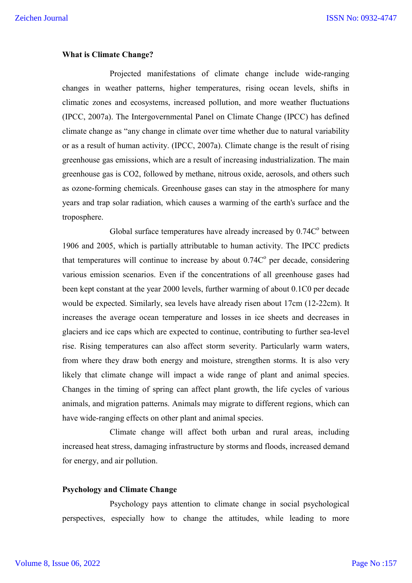## **What is Climate Change?**

Projected manifestations of climate change include wide-ranging changes in weather patterns, higher temperatures, rising ocean levels, shifts in climatic zones and ecosystems, increased pollution, and more weather fluctuations (IPCC, 2007a). The Intergovernmental Panel on Climate Change (IPCC) has defined climate change as "any change in climate over time whether due to natural variability or as a result of human activity. (IPCC, 2007a). Climate change is the result of rising greenhouse gas emissions, which are a result of increasing industrialization. The main greenhouse gas is CO2, followed by methane, nitrous oxide, aerosols, and others such as ozone-forming chemicals. Greenhouse gases can stay in the atmosphere for many years and trap solar radiation, which causes a warming of the earth's surface and the troposphere.

Global surface temperatures have already increased by  $0.74C<sup>o</sup>$  between 1906 and 2005, which is partially attributable to human activity. The IPCC predicts that temperatures will continue to increase by about  $0.74C<sup>o</sup>$  per decade, considering various emission scenarios. Even if the concentrations of all greenhouse gases had been kept constant at the year 2000 levels, further warming of about 0.1C0 per decade would be expected. Similarly, sea levels have already risen about 17cm (12-22cm). It increases the average ocean temperature and losses in ice sheets and decreases in glaciers and ice caps which are expected to continue, contributing to further sea-level rise. Rising temperatures can also affect storm severity. Particularly warm waters, from where they draw both energy and moisture, strengthen storms. It is also very likely that climate change will impact a wide range of plant and animal species. Changes in the timing of spring can affect plant growth, the life cycles of various animals, and migration patterns. Animals may migrate to different regions, which can have wide-ranging effects on other plant and animal species.

Climate change will affect both urban and rural areas, including increased heat stress, damaging infrastructure by storms and floods, increased demand for energy, and air pollution.

### **Psychology and Climate Change**

Psychology pays attention to climate change in social psychological perspectives, especially how to change the attitudes, while leading to more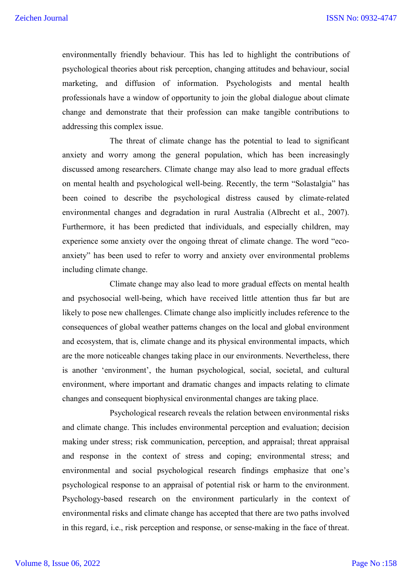environmentally friendly behaviour. This has led to highlight the contributions of psychological theories about risk perception, changing attitudes and behaviour, social marketing, and diffusion of information. Psychologists and mental health professionals have a window of opportunity to join the global dialogue about climate change and demonstrate that their profession can make tangible contributions to addressing this complex issue.

The threat of climate change has the potential to lead to significant anxiety and worry among the general population, which has been increasingly discussed among researchers. Climate change may also lead to more gradual effects on mental health and psychological well-being. Recently, the term "Solastalgia" has been coined to describe the psychological distress caused by climate-related environmental changes and degradation in rural Australia (Albrecht et al., 2007). Furthermore, it has been predicted that individuals, and especially children, may experience some anxiety over the ongoing threat of climate change. The word "ecoanxiety" has been used to refer to worry and anxiety over environmental problems including climate change.

Climate change may also lead to more gradual effects on mental health and psychosocial well-being, which have received little attention thus far but are likely to pose new challenges. Climate change also implicitly includes reference to the consequences of global weather patterns changes on the local and global environment and ecosystem, that is, climate change and its physical environmental impacts, which are the more noticeable changes taking place in our environments. Nevertheless, there is another 'environment', the human psychological, social, societal, and cultural environment, where important and dramatic changes and impacts relating to climate changes and consequent biophysical environmental changes are taking place.

Psychological research reveals the relation between environmental risks and climate change. This includes environmental perception and evaluation; decision making under stress; risk communication, perception, and appraisal; threat appraisal and response in the context of stress and coping; environmental stress; and environmental and social psychological research findings emphasize that one's psychological response to an appraisal of potential risk or harm to the environment. Psychology-based research on the environment particularly in the context of environmental risks and climate change has accepted that there are two paths involved in this regard, i.e., risk perception and response, or sense-making in the face of threat.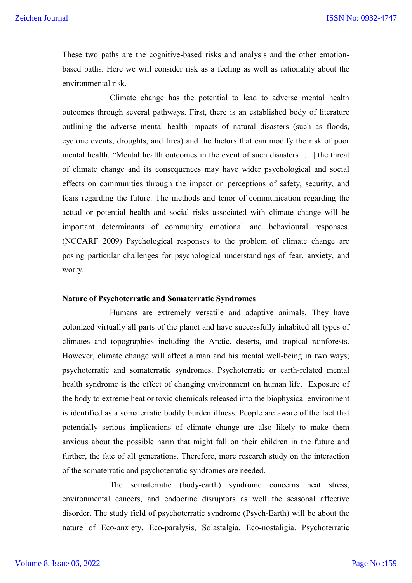These two paths are the cognitive-based risks and analysis and the other emotionbased paths. Here we will consider risk as a feeling as well as rationality about the environmental risk.

Climate change has the potential to lead to adverse mental health outcomes through several pathways. First, there is an established body of literature outlining the adverse mental health impacts of natural disasters (such as floods, cyclone events, droughts, and fires) and the factors that can modify the risk of poor mental health. "Mental health outcomes in the event of such disasters […] the threat of climate change and its consequences may have wider psychological and social effects on communities through the impact on perceptions of safety, security, and fears regarding the future. The methods and tenor of communication regarding the actual or potential health and social risks associated with climate change will be important determinants of community emotional and behavioural responses. (NCCARF 2009) Psychological responses to the problem of climate change are posing particular challenges for psychological understandings of fear, anxiety, and worry.

### **Nature of Psychoterratic and Somaterratic Syndromes**

Humans are extremely versatile and adaptive animals. They have colonized virtually all parts of the planet and have successfully inhabited all types of climates and topographies including the Arctic, deserts, and tropical rainforests. However, climate change will affect a man and his mental well-being in two ways; psychoterratic and somaterratic syndromes. Psychoterratic or earth-related mental health syndrome is the effect of changing environment on human life. Exposure of the body to extreme heat or toxic chemicals released into the biophysical environment is identified as a somaterratic bodily burden illness. People are aware of the fact that potentially serious implications of climate change are also likely to make them anxious about the possible harm that might fall on their children in the future and further, the fate of all generations. Therefore, more research study on the interaction of the somaterratic and psychoterratic syndromes are needed.

The somaterratic (body-earth) syndrome concerns heat stress, environmental cancers, and endocrine disruptors as well the seasonal affective disorder. The study field of psychoterratic syndrome (Psych-Earth) will be about the nature of Eco-anxiety, Eco-paralysis, Solastalgia, Eco-nostaligia. Psychoterratic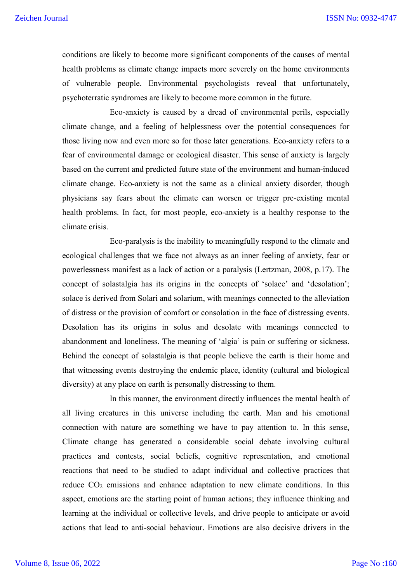conditions are likely to become more significant components of the causes of mental health problems as climate change impacts more severely on the home environments of vulnerable people. Environmental psychologists reveal that unfortunately, psychoterratic syndromes are likely to become more common in the future.

Eco-anxiety is caused by a dread of environmental perils, especially climate change, and a feeling of helplessness over the potential consequences for those living now and even more so for those later generations. Eco-anxiety refers to a fear of environmental damage or ecological disaster. This sense of anxiety is largely based on the current and predicted future state of the environment and human-induced climate change. Eco-anxiety is not the same as a clinical anxiety disorder, though physicians say fears about the climate can worsen or trigger pre-existing mental health problems. In fact, for most people, eco-anxiety is a healthy response to the climate crisis.

Eco-paralysis is the inability to meaningfully respond to the climate and ecological challenges that we face not always as an inner feeling of anxiety, fear or powerlessness manifest as a lack of action or a paralysis (Lertzman, 2008, p.17). The concept of solastalgia has its origins in the concepts of 'solace' and 'desolation'; solace is derived from Solari and solarium, with meanings connected to the alleviation of distress or the provision of comfort or consolation in the face of distressing events. Desolation has its origins in solus and desolate with meanings connected to abandonment and loneliness. The meaning of 'algia' is pain or suffering or sickness. Behind the concept of solastalgia is that people believe the earth is their home and that witnessing events destroying the endemic place, identity (cultural and biological diversity) at any place on earth is personally distressing to them.

In this manner, the environment directly influences the mental health of all living creatures in this universe including the earth. Man and his emotional connection with nature are something we have to pay attention to. In this sense, Climate change has generated a considerable social debate involving cultural practices and contests, social beliefs, cognitive representation, and emotional reactions that need to be studied to adapt individual and collective practices that reduce  $CO<sub>2</sub>$  emissions and enhance adaptation to new climate conditions. In this aspect, emotions are the starting point of human actions; they influence thinking and learning at the individual or collective levels, and drive people to anticipate or avoid actions that lead to anti-social behaviour. Emotions are also decisive drivers in the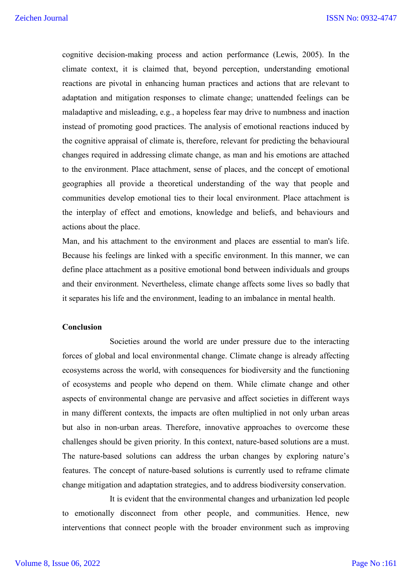cognitive decision-making process and action performance (Lewis, 2005). In the climate context, it is claimed that, beyond perception, understanding emotional reactions are pivotal in enhancing human practices and actions that are relevant to adaptation and mitigation responses to climate change; unattended feelings can be maladaptive and misleading, e.g., a hopeless fear may drive to numbness and inaction instead of promoting good practices. The analysis of emotional reactions induced by the cognitive appraisal of climate is, therefore, relevant for predicting the behavioural changes required in addressing climate change, as man and his emotions are attached to the environment. Place attachment, sense of places, and the concept of emotional geographies all provide a theoretical understanding of the way that people and communities develop emotional ties to their local environment. Place attachment is the interplay of effect and emotions, knowledge and beliefs, and behaviours and actions about the place.

Man, and his attachment to the environment and places are essential to man's life. Because his feelings are linked with a specific environment. In this manner, we can define place attachment as a positive emotional bond between individuals and groups and their environment. Nevertheless, climate change affects some lives so badly that it separates his life and the environment, leading to an imbalance in mental health.

#### **Conclusion**

Societies around the world are under pressure due to the interacting forces of global and local environmental change. Climate change is already affecting ecosystems across the world, with consequences for biodiversity and the functioning of ecosystems and people who depend on them. While climate change and other aspects of environmental change are pervasive and affect societies in different ways in many different contexts, the impacts are often multiplied in not only urban areas but also in non-urban areas. Therefore, innovative approaches to overcome these challenges should be given priority. In this context, nature-based solutions are a must. The nature-based solutions can address the urban changes by exploring nature's features. The concept of nature-based solutions is currently used to reframe climate change mitigation and adaptation strategies, and to address biodiversity conservation.

It is evident that the environmental changes and urbanization led people to emotionally disconnect from other people, and communities. Hence, new interventions that connect people with the broader environment such as improving